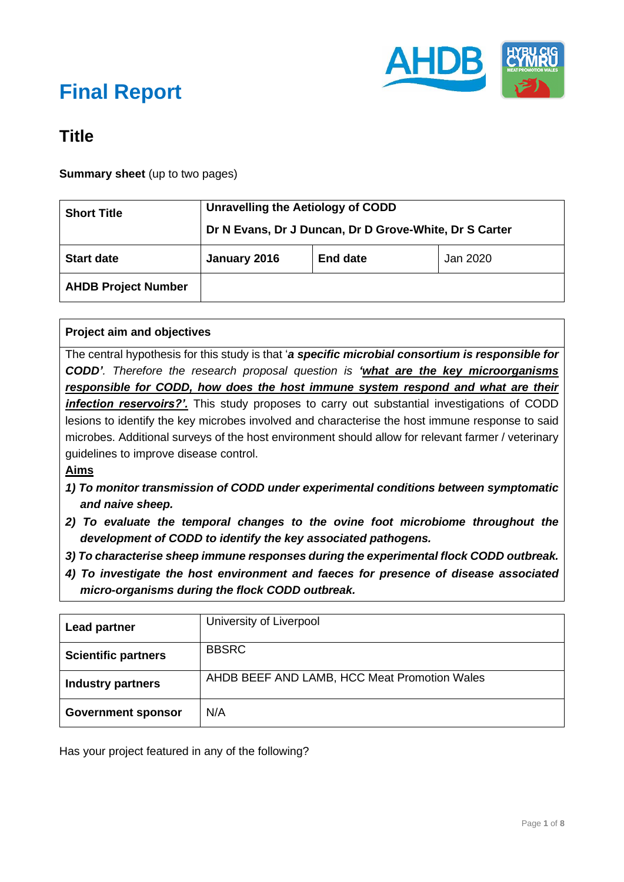

### **Title**

**Summary sheet** (up to two pages)

| <b>Short Title</b>         | Unravelling the Aetiology of CODD<br>Dr N Evans, Dr J Duncan, Dr D Grove-White, Dr S Carter |                 |          |
|----------------------------|---------------------------------------------------------------------------------------------|-----------------|----------|
| <b>Start date</b>          | January 2016                                                                                | <b>End date</b> | Jan 2020 |
| <b>AHDB Project Number</b> |                                                                                             |                 |          |

#### **Project aim and objectives**

The central hypothesis for this study is that '*a specific microbial consortium is responsible for CODD'. Therefore the research proposal question is 'what are the key microorganisms responsible for CODD, how does the host immune system respond and what are their infection reservoirs?'*. This study proposes to carry out substantial investigations of CODD lesions to identify the key microbes involved and characterise the host immune response to said microbes. Additional surveys of the host environment should allow for relevant farmer / veterinary guidelines to improve disease control.

#### **Aims**

- *1) To monitor transmission of CODD under experimental conditions between symptomatic and naive sheep.*
- *2) To evaluate the temporal changes to the ovine foot microbiome throughout the development of CODD to identify the key associated pathogens.*
- *3) To characterise sheep immune responses during the experimental flock CODD outbreak.*
- *4) To investigate the host environment and faeces for presence of disease associated micro-organisms during the flock CODD outbreak.*

| <b>Lead partner</b>        | University of Liverpool                      |
|----------------------------|----------------------------------------------|
| <b>Scientific partners</b> | <b>BBSRC</b>                                 |
| <b>Industry partners</b>   | AHDB BEEF AND LAMB, HCC Meat Promotion Wales |
| <b>Government sponsor</b>  | N/A                                          |

Has your project featured in any of the following?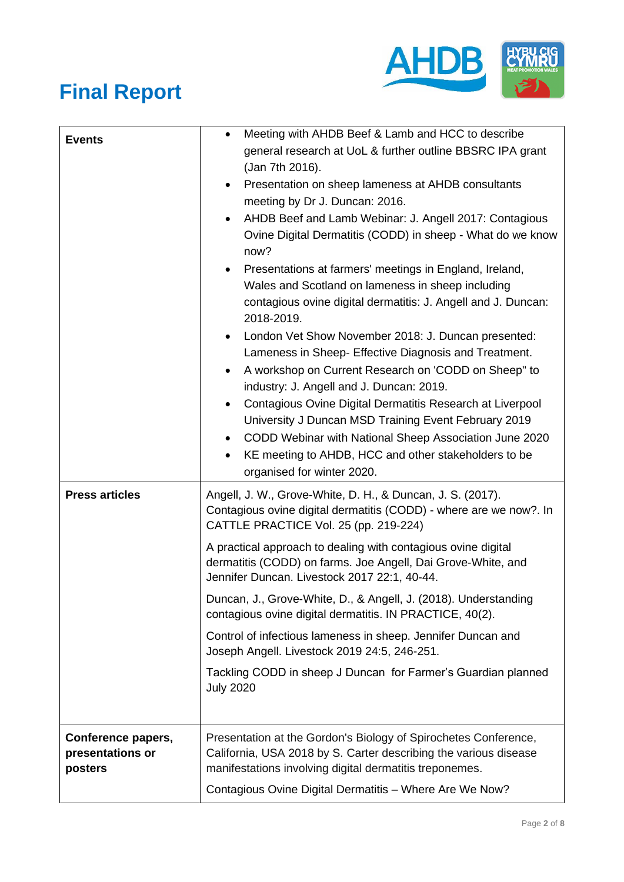

| <b>Events</b>                                     | Meeting with AHDB Beef & Lamb and HCC to describe<br>$\bullet$                                                                                                                                 |  |
|---------------------------------------------------|------------------------------------------------------------------------------------------------------------------------------------------------------------------------------------------------|--|
|                                                   | general research at UoL & further outline BBSRC IPA grant<br>(Jan 7th 2016).                                                                                                                   |  |
|                                                   | Presentation on sheep lameness at AHDB consultants<br>$\bullet$                                                                                                                                |  |
|                                                   | meeting by Dr J. Duncan: 2016.                                                                                                                                                                 |  |
|                                                   | AHDB Beef and Lamb Webinar: J. Angell 2017: Contagious<br>Ovine Digital Dermatitis (CODD) in sheep - What do we know<br>now?                                                                   |  |
|                                                   | Presentations at farmers' meetings in England, Ireland,                                                                                                                                        |  |
|                                                   | Wales and Scotland on lameness in sheep including                                                                                                                                              |  |
|                                                   | contagious ovine digital dermatitis: J. Angell and J. Duncan:<br>2018-2019.                                                                                                                    |  |
|                                                   | London Vet Show November 2018: J. Duncan presented:<br>$\bullet$                                                                                                                               |  |
|                                                   | Lameness in Sheep- Effective Diagnosis and Treatment.                                                                                                                                          |  |
|                                                   | A workshop on Current Research on 'CODD on Sheep" to                                                                                                                                           |  |
|                                                   | industry: J. Angell and J. Duncan: 2019.                                                                                                                                                       |  |
|                                                   | Contagious Ovine Digital Dermatitis Research at Liverpool<br>$\bullet$<br>University J Duncan MSD Training Event February 2019                                                                 |  |
|                                                   | CODD Webinar with National Sheep Association June 2020                                                                                                                                         |  |
|                                                   | KE meeting to AHDB, HCC and other stakeholders to be<br>$\bullet$                                                                                                                              |  |
|                                                   | organised for winter 2020.                                                                                                                                                                     |  |
| <b>Press articles</b>                             | Angell, J. W., Grove-White, D. H., & Duncan, J. S. (2017).<br>Contagious ovine digital dermatitis (CODD) - where are we now?. In<br>CATTLE PRACTICE Vol. 25 (pp. 219-224)                      |  |
|                                                   | A practical approach to dealing with contagious ovine digital<br>dermatitis (CODD) on farms. Joe Angell, Dai Grove-White, and<br>Jennifer Duncan. Livestock 2017 22:1, 40-44.                  |  |
|                                                   | Duncan, J., Grove-White, D., & Angell, J. (2018). Understanding<br>contagious ovine digital dermatitis. IN PRACTICE, 40(2).                                                                    |  |
|                                                   | Control of infectious lameness in sheep. Jennifer Duncan and<br>Joseph Angell. Livestock 2019 24:5, 246-251.                                                                                   |  |
|                                                   | Tackling CODD in sheep J Duncan for Farmer's Guardian planned<br><b>July 2020</b>                                                                                                              |  |
|                                                   |                                                                                                                                                                                                |  |
| Conference papers,<br>presentations or<br>posters | Presentation at the Gordon's Biology of Spirochetes Conference,<br>California, USA 2018 by S. Carter describing the various disease<br>manifestations involving digital dermatitis treponemes. |  |
|                                                   | Contagious Ovine Digital Dermatitis - Where Are We Now?                                                                                                                                        |  |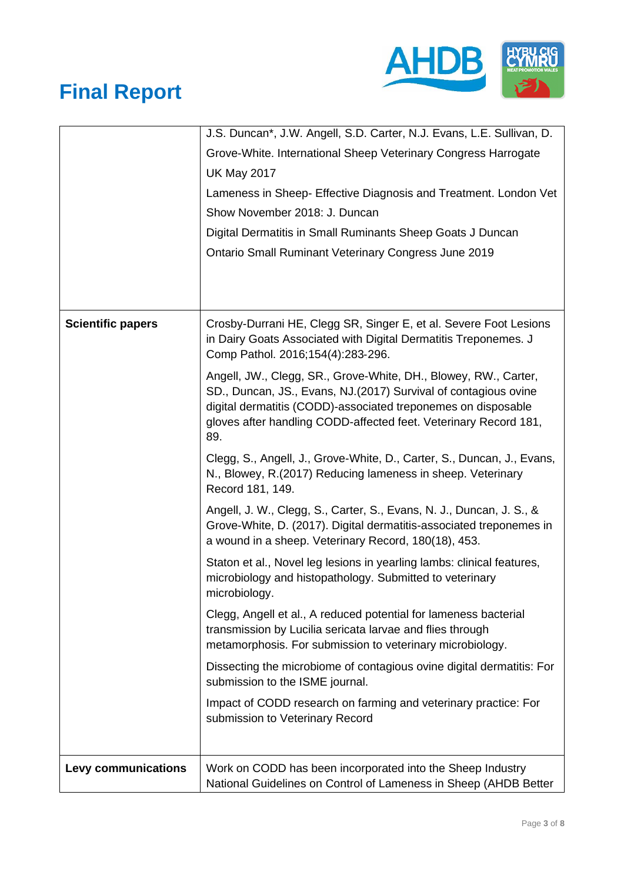

|                          | J.S. Duncan*, J.W. Angell, S.D. Carter, N.J. Evans, L.E. Sullivan, D.                                                                                                                                                                                                          |  |  |
|--------------------------|--------------------------------------------------------------------------------------------------------------------------------------------------------------------------------------------------------------------------------------------------------------------------------|--|--|
|                          | Grove-White. International Sheep Veterinary Congress Harrogate                                                                                                                                                                                                                 |  |  |
|                          | <b>UK May 2017</b>                                                                                                                                                                                                                                                             |  |  |
|                          | Lameness in Sheep- Effective Diagnosis and Treatment. London Vet                                                                                                                                                                                                               |  |  |
|                          | Show November 2018: J. Duncan                                                                                                                                                                                                                                                  |  |  |
|                          | Digital Dermatitis in Small Ruminants Sheep Goats J Duncan                                                                                                                                                                                                                     |  |  |
|                          | <b>Ontario Small Ruminant Veterinary Congress June 2019</b>                                                                                                                                                                                                                    |  |  |
|                          |                                                                                                                                                                                                                                                                                |  |  |
|                          |                                                                                                                                                                                                                                                                                |  |  |
| <b>Scientific papers</b> | Crosby-Durrani HE, Clegg SR, Singer E, et al. Severe Foot Lesions<br>in Dairy Goats Associated with Digital Dermatitis Treponemes. J<br>Comp Pathol. 2016;154(4):283-296.                                                                                                      |  |  |
|                          | Angell, JW., Clegg, SR., Grove-White, DH., Blowey, RW., Carter,<br>SD., Duncan, JS., Evans, NJ.(2017) Survival of contagious ovine<br>digital dermatitis (CODD)-associated treponemes on disposable<br>gloves after handling CODD-affected feet. Veterinary Record 181,<br>89. |  |  |
|                          | Clegg, S., Angell, J., Grove-White, D., Carter, S., Duncan, J., Evans,<br>N., Blowey, R. (2017) Reducing lameness in sheep. Veterinary<br>Record 181, 149.                                                                                                                     |  |  |
|                          | Angell, J. W., Clegg, S., Carter, S., Evans, N. J., Duncan, J. S., &<br>Grove-White, D. (2017). Digital dermatitis-associated treponemes in<br>a wound in a sheep. Veterinary Record, 180(18), 453.                                                                            |  |  |
|                          | Staton et al., Novel leg lesions in yearling lambs: clinical features,<br>microbiology and histopathology. Submitted to veterinary<br>microbiology.                                                                                                                            |  |  |
|                          | Clegg, Angell et al., A reduced potential for lameness bacterial<br>transmission by Lucilia sericata larvae and flies through<br>metamorphosis. For submission to veterinary microbiology.                                                                                     |  |  |
|                          | Dissecting the microbiome of contagious ovine digital dermatitis: For<br>submission to the ISME journal.                                                                                                                                                                       |  |  |
|                          | Impact of CODD research on farming and veterinary practice: For<br>submission to Veterinary Record                                                                                                                                                                             |  |  |
|                          |                                                                                                                                                                                                                                                                                |  |  |
| Levy communications      | Work on CODD has been incorporated into the Sheep Industry<br>National Guidelines on Control of Lameness in Sheep (AHDB Better                                                                                                                                                 |  |  |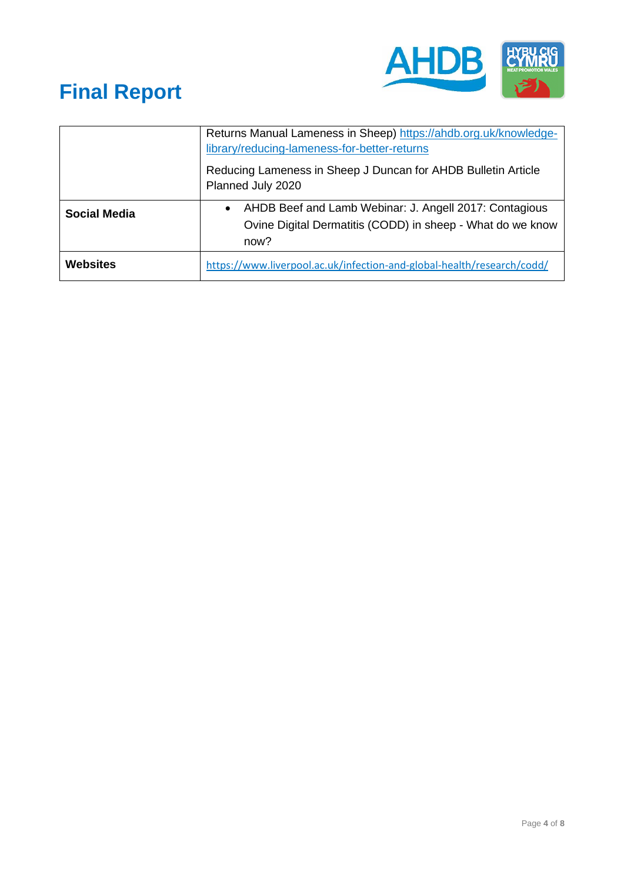

|                     | Returns Manual Lameness in Sheep) https://ahdb.org.uk/knowledge-<br>library/reducing-lameness-for-better-returns<br>Reducing Lameness in Sheep J Duncan for AHDB Bulletin Article<br>Planned July 2020 |  |
|---------------------|--------------------------------------------------------------------------------------------------------------------------------------------------------------------------------------------------------|--|
|                     |                                                                                                                                                                                                        |  |
| <b>Social Media</b> | AHDB Beef and Lamb Webinar: J. Angell 2017: Contagious<br>$\bullet$<br>Ovine Digital Dermatitis (CODD) in sheep - What do we know<br>now?                                                              |  |
| <b>Websites</b>     | https://www.liverpool.ac.uk/infection-and-global-health/research/codd/                                                                                                                                 |  |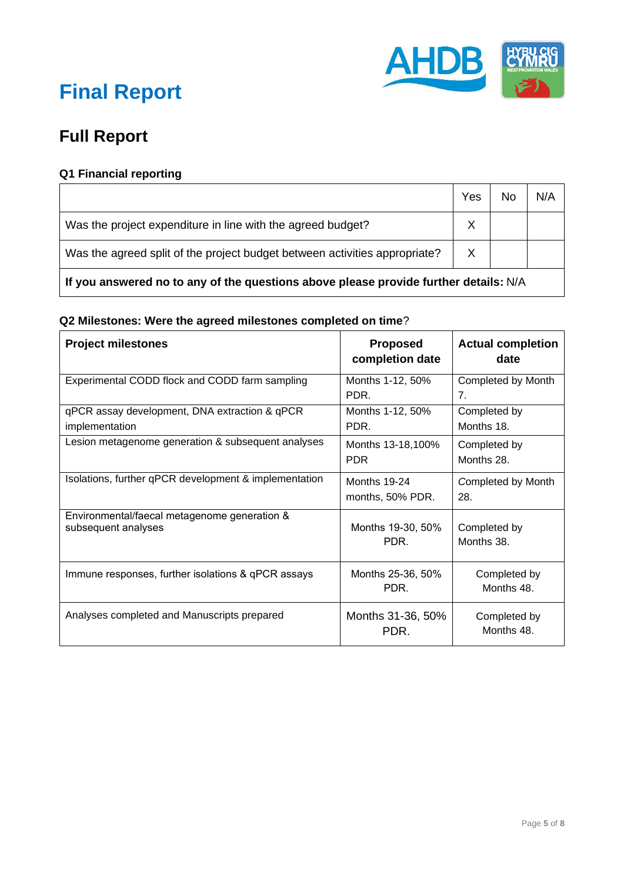

### **Full Report**

### **Q1 Financial reporting**

|                                                                            | Yes | No | N/A |
|----------------------------------------------------------------------------|-----|----|-----|
| Was the project expenditure in line with the agreed budget?                |     |    |     |
| Was the agreed split of the project budget between activities appropriate? |     |    |     |
|                                                                            |     |    |     |

**If you answered no to any of the questions above please provide further details:** N/A

#### **Q2 Milestones: Were the agreed milestones completed on time**?

| <b>Project milestones</b>                                           | <b>Proposed</b><br>completion date      | <b>Actual completion</b><br>date |
|---------------------------------------------------------------------|-----------------------------------------|----------------------------------|
| Experimental CODD flock and CODD farm sampling                      | Months 1-12, 50%<br>PDR.                | Completed by Month<br>7.         |
| qPCR assay development, DNA extraction & qPCR<br>implementation     | Months 1-12, 50%<br>PDR.                | Completed by<br>Months 18.       |
| Lesion metagenome generation & subsequent analyses                  | Months 13-18,100%<br><b>PDR</b>         | Completed by<br>Months 28.       |
| Isolations, further qPCR development & implementation               | <b>Months 19-24</b><br>months, 50% PDR. | Completed by Month<br>28.        |
| Environmental/faecal metagenome generation &<br>subsequent analyses | Months 19-30, 50%<br>PDR.               | Completed by<br>Months 38.       |
| Immune responses, further isolations & qPCR assays                  | Months 25-36, 50%<br>PDR.               | Completed by<br>Months 48.       |
| Analyses completed and Manuscripts prepared                         | Months 31-36, 50%<br>PDR.               | Completed by<br>Months 48.       |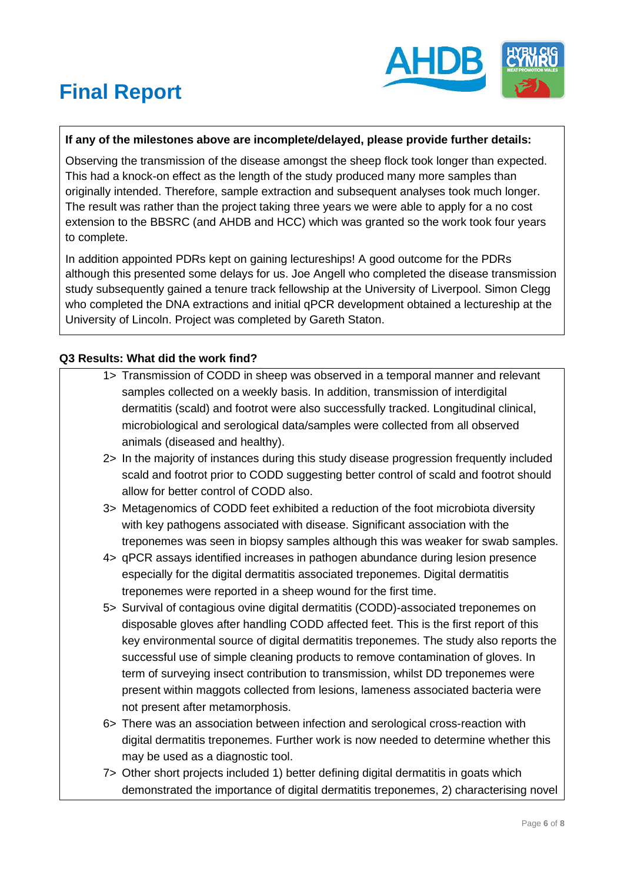

### **If any of the milestones above are incomplete/delayed, please provide further details:**

Observing the transmission of the disease amongst the sheep flock took longer than expected. This had a knock-on effect as the length of the study produced many more samples than originally intended. Therefore, sample extraction and subsequent analyses took much longer. The result was rather than the project taking three years we were able to apply for a no cost extension to the BBSRC (and AHDB and HCC) which was granted so the work took four years to complete.

In addition appointed PDRs kept on gaining lectureships! A good outcome for the PDRs although this presented some delays for us. Joe Angell who completed the disease transmission study subsequently gained a tenure track fellowship at the University of Liverpool. Simon Clegg who completed the DNA extractions and initial qPCR development obtained a lectureship at the University of Lincoln. Project was completed by Gareth Staton.

#### **Q3 Results: What did the work find?**

- 1> Transmission of CODD in sheep was observed in a temporal manner and relevant samples collected on a weekly basis. In addition, transmission of interdigital dermatitis (scald) and footrot were also successfully tracked. Longitudinal clinical, microbiological and serological data/samples were collected from all observed animals (diseased and healthy).
- 2> In the majority of instances during this study disease progression frequently included scald and footrot prior to CODD suggesting better control of scald and footrot should allow for better control of CODD also.
- 3> Metagenomics of CODD feet exhibited a reduction of the foot microbiota diversity with key pathogens associated with disease. Significant association with the treponemes was seen in biopsy samples although this was weaker for swab samples.
- 4> qPCR assays identified increases in pathogen abundance during lesion presence especially for the digital dermatitis associated treponemes. Digital dermatitis treponemes were reported in a sheep wound for the first time.
- 5> Survival of contagious ovine digital dermatitis (CODD)-associated treponemes on disposable gloves after handling CODD affected feet. This is the first report of this key environmental source of digital dermatitis treponemes. The study also reports the successful use of simple cleaning products to remove contamination of gloves. In term of surveying insect contribution to transmission, whilst DD treponemes were present within maggots collected from lesions, lameness associated bacteria were not present after metamorphosis.
- 6> There was an association between infection and serological cross-reaction with digital dermatitis treponemes. Further work is now needed to determine whether this may be used as a diagnostic tool.
- 7> Other short projects included 1) better defining digital dermatitis in goats which demonstrated the importance of digital dermatitis treponemes, 2) characterising novel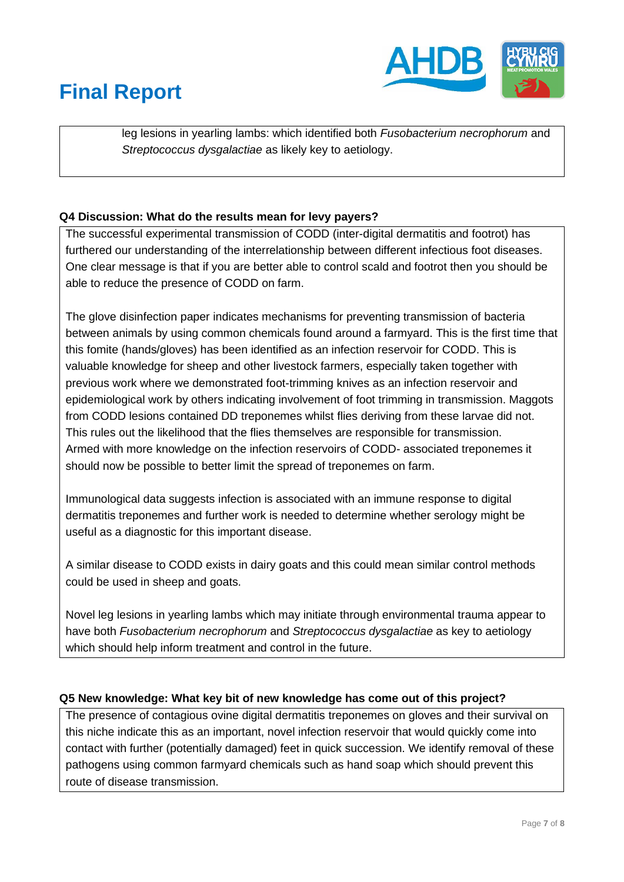

leg lesions in yearling lambs: which identified both *Fusobacterium necrophorum* and *Streptococcus dysgalactiae* as likely key to aetiology.

### **Q4 Discussion: What do the results mean for levy payers?**

The successful experimental transmission of CODD (inter-digital dermatitis and footrot) has furthered our understanding of the interrelationship between different infectious foot diseases. One clear message is that if you are better able to control scald and footrot then you should be able to reduce the presence of CODD on farm.

The glove disinfection paper indicates mechanisms for preventing transmission of bacteria between animals by using common chemicals found around a farmyard. This is the first time that this fomite (hands/gloves) has been identified as an infection reservoir for CODD. This is valuable knowledge for sheep and other livestock farmers, especially taken together with previous work where we demonstrated foot-trimming knives as an infection reservoir and epidemiological work by others indicating involvement of foot trimming in transmission. Maggots from CODD lesions contained DD treponemes whilst flies deriving from these larvae did not. This rules out the likelihood that the flies themselves are responsible for transmission. Armed with more knowledge on the infection reservoirs of CODD- associated treponemes it should now be possible to better limit the spread of treponemes on farm.

Immunological data suggests infection is associated with an immune response to digital dermatitis treponemes and further work is needed to determine whether serology might be useful as a diagnostic for this important disease.

A similar disease to CODD exists in dairy goats and this could mean similar control methods could be used in sheep and goats.

Novel leg lesions in yearling lambs which may initiate through environmental trauma appear to have both *Fusobacterium necrophorum* and *Streptococcus dysgalactiae* as key to aetiology which should help inform treatment and control in the future.

#### **Q5 New knowledge: What key bit of new knowledge has come out of this project?**

The presence of contagious ovine digital dermatitis treponemes on gloves and their survival on this niche indicate this as an important, novel infection reservoir that would quickly come into contact with further (potentially damaged) feet in quick succession. We identify removal of these pathogens using common farmyard chemicals such as hand soap which should prevent this route of disease transmission.